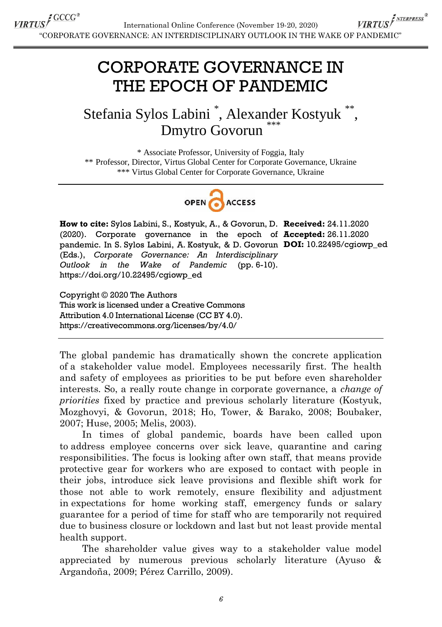### CORPORATE GOVERNANCE IN THE EPOCH OF PANDEMIC

### Stefania Sylos Labini<sup>\*</sup>, Alexander Kostyuk<sup>\*\*</sup>, Dmytro Govorun

\* Associate Professor, University of Foggia, Italy \*\* Professor, Director, Virtus Global Center for Corporate Governance, Ukraine \*\*\* Virtus Global Center for Corporate Governance, Ukraine



**How to cite:** Sylos Labini, S., Kostyuk, A., & Govorun, D. **Received:** 24.11.2020 (2020). Corporate governance in the epoch of **Accepted:** 26.11.2020 pandemic. In S. Sylos Labini, A. Kostyuk, & D. Govorun **DOI:** 10.22495/cgiowp\_ed (Eds.), *Corporate Governance: An Interdisciplinary Outlook in the Wake of Pandemic* (pp. 6-10). https://doi.org/10.22495/cgiowp\_ed

Copyright © 2020 The Authors This work is licensed under a Creative Commons Attribution 4.0 International License (CC BY 4.0). https://creativecommons.org/licenses/by/4.0/

The global pandemic has dramatically shown the concrete application of a stakeholder value model. Employees necessarily first. The health and safety of employees as priorities to be put before even shareholder interests. So, a really route change in corporate governance, a *change of priorities* fixed by practice and previous scholarly literature (Kostyuk, Mozghovyi, & Govorun, 2018; Ho, Tower, & Barako, 2008; Boubaker, 2007; Huse, 2005; Melis, 2003).

In times of global pandemic, boards have been called upon to address employee concerns over sick leave, quarantine and caring responsibilities. The focus is looking after own staff, that means provide protective gear for workers who are exposed to contact with people in their jobs, introduce sick leave provisions and flexible shift work for those not able to work remotely, ensure flexibility and adjustment in expectations for home working staff, emergency funds or salary guarantee for a period of time for staff who are temporarily not required due to business closure or lockdown and last but not least provide mental health support.

The shareholder value gives way to a stakeholder value model appreciated by numerous previous scholarly literature (Ayuso & Argandoña, 2009; Pérez Carrillo, 2009).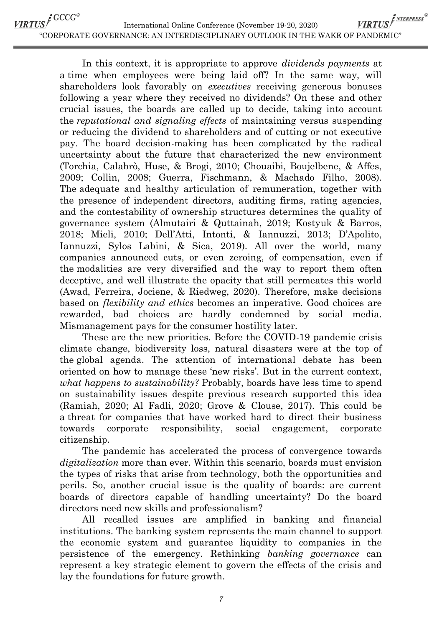VIRTUS <sup>GCCG®</sup> VIRTUS FNTERPRESS<sup>®</sup> International Online Conference (November 19-20, 2020) "CORPORATE GOVERNANCE: AN INTERDISCIPLINARY OUTLOOK IN THE WAKE OF PANDEMIC"

> In this context, it is appropriate to approve *dividends payments* at a time when employees were being laid off? In the same way, will shareholders look favorably on *executives* receiving generous bonuses following a year where they received no dividends? On these and other crucial issues, the boards are called up to decide, taking into account the *reputational and signaling effects* of maintaining versus suspending or reducing the dividend to shareholders and of cutting or not executive pay. The board decision-making has been complicated by the radical uncertainty about the future that characterized the new environment (Torchia, Calabrò, Huse, & Brogi, 2010; Chouaibi, Boujelbene, & Affes, 2009; Collin, 2008; Guerra, Fischmann, & Machado Filho, 2008). The adequate and healthy articulation of remuneration, together with the presence of independent directors, auditing firms, rating agencies, and the contestability of ownership structures determines the quality of governance system (Almutairi & Quttainah, 2019; Kostyuk & Barros, 2018; Mieli, 2010; Dell"Atti, Intonti, & Iannuzzi, 2013; D"Apolito, Iannuzzi, Sylos Labini, & Sica, 2019). All over the world, many companies announced cuts, or even zeroing, of compensation, even if the modalities are very diversified and the way to report them often deceptive, and well illustrate the opacity that still permeates this world (Awad, Ferreira, Jociene, & Riedweg, 2020). Therefore, make decisions based on *flexibility and ethics* becomes an imperative. Good choices are rewarded, bad choices are hardly condemned by social media. Mismanagement pays for the consumer hostility later.

> These are the new priorities. Before the COVID-19 pandemic crisis climate change, biodiversity loss, natural disasters were at the top of the global agenda. The attention of international debate has been oriented on how to manage these "new risks". But in the current context, *what happens to sustainability?* Probably, boards have less time to spend on sustainability issues despite previous research supported this idea (Ramiah, 2020; Al Fadli, 2020; Grove & Clouse, 2017). This could be a threat for companies that have worked hard to direct their business towards corporate responsibility, social engagement, corporate citizenship.

> The pandemic has accelerated the process of convergence towards *digitalization* more than ever. Within this scenario, boards must envision the types of risks that arise from technology, both the opportunities and perils. So, another crucial issue is the quality of boards: are current boards of directors capable of handling uncertainty? Do the board directors need new skills and professionalism?

> All recalled issues are amplified in banking and financial institutions. The banking system represents the main channel to support the economic system and guarantee liquidity to companies in the persistence of the emergency. Rethinking *banking governance* can represent a key strategic element to govern the effects of the crisis and lay the foundations for future growth.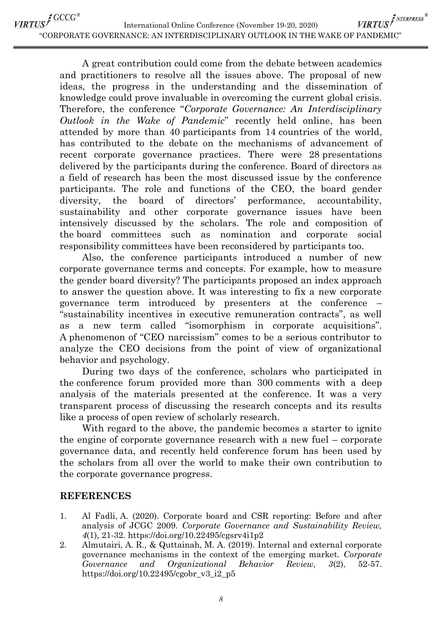VIRTUS <sup>GCCG®</sup> VIRTUS FNTERPRESS<sup>®</sup> International Online Conference (November 19-20, 2020) "CORPORATE GOVERNANCE: AN INTERDISCIPLINARY OUTLOOK IN THE WAKE OF PANDEMIC"

> A great contribution could come from the debate between academics and practitioners to resolve all the issues above. The proposal of new ideas, the progress in the understanding and the dissemination of knowledge could prove invaluable in overcoming the current global crisis. Therefore, the conference "*Corporate Governance: An Interdisciplinary Outlook in the Wake of Pandemic*" recently held online, has been attended by more than 40 participants from 14 countries of the world, has contributed to the debate on the mechanisms of advancement of recent corporate governance practices. There were 28 presentations delivered by the participants during the conference. Board of directors as a field of research has been the most discussed issue by the conference participants. The role and functions of the CEO, the board gender diversity, the board of directors' performance, accountability, sustainability and other corporate governance issues have been intensively discussed by the scholars. The role and composition of the board committees such as nomination and corporate social responsibility committees have been reconsidered by participants too.

> Also, the conference participants introduced a number of new corporate governance terms and concepts. For example, how to measure the gender board diversity? The participants proposed an index approach to answer the question above. It was interesting to fix a new corporate governance term introduced by presenters at the conference – "sustainability incentives in executive remuneration contracts", as well as a new term called "isomorphism in corporate acquisitions". A phenomenon of "CEO narcissism" comes to be a serious contributor to analyze the CEO decisions from the point of view of organizational behavior and psychology.

> During two days of the conference, scholars who participated in the conference forum provided more than 300 comments with a deep analysis of the materials presented at the conference. It was a very transparent process of discussing the research concepts and its results like a process of open review of scholarly research.

> With regard to the above, the pandemic becomes a starter to ignite the engine of corporate governance research with a new fuel – corporate governance data, and recently held conference forum has been used by the scholars from all over the world to make their own contribution to the corporate governance progress.

#### **REFERENCES**

- 1. Al Fadli, A. (2020). Corporate board and CSR reporting: Before and after analysis of JCGC 2009. *Corporate Governance and Sustainability Review, 4*(1), 21-32. https://doi.org/10.22495/cgsrv4i1p2
- 2. Almutairi, A. R., & Quttainah, M. A. (2019). Internal and external corporate governance mechanisms in the context of the emerging market. *Corporate Governance and Organizational Behavior Review, 3*(2), 52-57. https://doi.org/10.22495/cgobr\_v3\_i2\_p5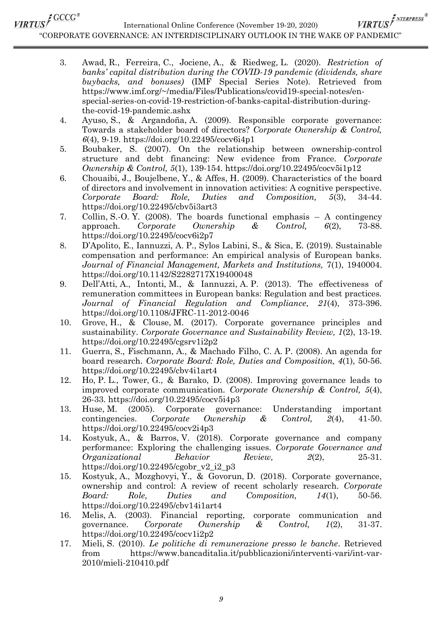# VIRTUS <sup>CCCC</sup><sup>®</sup>

International Online Conference (November 19-20, 2020)

VIRTUS<sup>I NTERPRESS®</sup> "CORPORATE GOVERNANCE: AN INTERDISCIPLINARY OUTLOOK IN THE WAKE OF PANDEMIC"

- 3. Awad, R., Ferreira, C., Jociene, A., & Riedweg, L. (2020). *Restriction of banks' capital distribution during the COVID-19 pandemic (dividends, share buybacks, and bonuses)* (IMF Special Series Note). Retrieved from https://www.imf.org/~/media/Files/Publications/covid19-special-notes/enspecial-series-on-covid-19-restriction-of-banks-capital-distribution-duringthe-covid-19-pandemic.ashx
- 4. Ayuso, S., & Argandoña, A. (2009). Responsible corporate governance: Towards a stakeholder board of directors? *Corporate Ownership & Control, 6*(4), 9-19. https://doi.org/10.22495/cocv6i4p1
- 5. Boubaker, S. (2007). On the relationship between ownership-control structure and debt financing: New evidence from France. *Corporate Ownership & Control, 5*(1), 139-154. https://doi.org/10.22495/cocv5i1p12
- 6. Chouaibi, J., Boujelbene, Y., & Affes, H. (2009). Characteristics of the board of directors and involvement in innovation activities: A cognitive perspective. *Corporate Board: Role, Duties and Composition, 5*(3), 34-44. https://doi.org/10.22495/cbv5i3art3
- 7. Collin, S.-O. Y. (2008). The boards functional emphasis A contingency approach. *Corporate Ownership & Control, 6*(2), 73-88. https://doi.org/10.22495/cocv6i2p7
- 8. D"Apolito, E., Iannuzzi, A. P., Sylos Labini, S., & Sica, E. (2019). Sustainable compensation and performance: An empirical analysis of European banks. *Journal of Financial Management, Markets and Institutions,* 7(1), 1940004. https://doi.org/10.1142/S2282717X19400048
- 9. Dell"Atti, A., Intonti, M., & Iannuzzi, A. P. (2013). The effectiveness of remuneration committees in European banks: Regulation and best practices. *Journal of Financial Regulation and Compliance*, *21*(4), 373-396. https://doi.org/10.1108/JFRC-11-2012-0046
- 10. Grove, H., & Clouse, M. (2017). Corporate governance principles and sustainability. *Corporate Governance and Sustainability Review, 1*(2), 13-19. https://doi.org/10.22495/cgsrv1i2p2
- 11. Guerra, S., Fischmann, A., & Machado Filho, C. A. P. (2008). An agenda for board research. *Corporate Board: Role, Duties and Composition, 4*(1), 50-56. https://doi.org/10.22495/cbv4i1art4
- 12. Ho, P. L., Tower, G., & Barako, D. (2008). Improving governance leads to improved corporate communication. *Corporate Ownership & Control, 5*(4), 26-33. https://doi.org/10.22495/cocv5i4p3
- 13. Huse, M. (2005). Corporate governance: Understanding important contingencies. *Corporate Ownership & Control, 2*(4), 41-50. https://doi.org/10.22495/cocv2i4p3
- 14. Kostyuk, A., & Barros, V. (2018). Corporate governance and company performance: Exploring the challenging issues. *Corporate Governance and Organizational Behavior Review, 2*(2), 25-31. https://doi.org/10.22495/cgobr\_v2\_i2\_p3
- 15. Kostyuk, A., Mozghovyi, Y., & Govorun, D. (2018). Corporate governance, ownership and control: A review of recent scholarly research. *Corporate Board: Role, Duties and Composition, 14*(1), 50-56. https://doi.org/10.22495/cbv14i1art4
- 16. Melis, A. (2003). Financial reporting, corporate communication and governance. *Corporate Ownership & Control, 1*(2), 31-37. https://doi.org/10.22495/cocv1i2p2
- 17. Mieli, S. (2010). *Le politiche di remunerazione presso le banche*. Retrieved from https://www.bancaditalia.it/pubblicazioni/interventi-vari/int-var-2010/mieli-210410.pdf